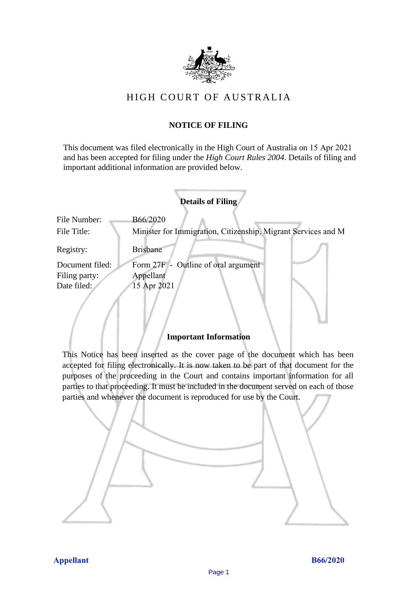

# HIGH COURT OF AU STRALIA HIGH COURT OF AUSTRALIA

# **NOTICE OF FILING** NOTICE OF FILING

This document was filed electronically in the High Court of Australia on 15 Apr 2021 This document was filed electronically in the High Court of Australia <sup>21</sup> and has been accepted for filing under the *High Court Rules 2004*. Details of filing and important additional information are provided below. important additional information are provided below.

|                 | <b>Details of Filing</b>                                      |
|-----------------|---------------------------------------------------------------|
| File Number:    | B66/2020                                                      |
| File Title:     | Minister for Immigration, Citizenship, Migrant Services and M |
| Registry:       | <b>Brisbane</b>                                               |
| Document filed: | Form 27F - Outline of oral argument                           |
| Filing party:   | Appellant                                                     |
| Date filed:     | 15 Apr 2021                                                   |
|                 |                                                               |

## **Important Information** Important Information

This Notice has been inserted as the cover page of the document which has been accepted for filing electronically. It is now taken to be part of that document for the purposes of the proceeding in the Court and contains important information for all parties to that proceeding. It must be included in the document served on each of those parties and whenever the document is reproduced for use by the Court. parties and whenever the document is reproduced for use by the Court

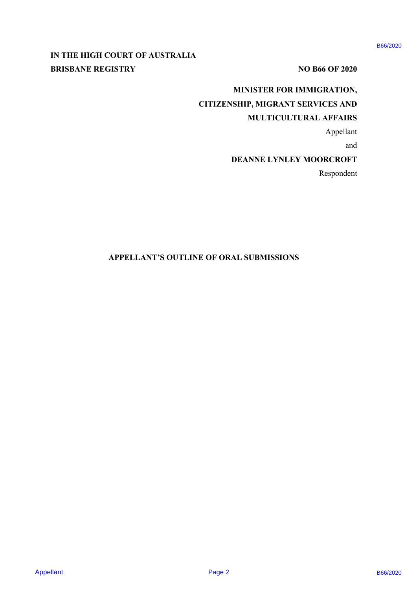# **IN THE HIGH COURT OF AUSTRALIA**  IN THE HIGH COURT OF AUSTRALIA **BRISBANE REGISTRY** NO B66 OF 2020

# **MINISTER FOR IMMIGRATION,**  MINISTER FOR IMMIGRATION, **CITIZENSHIP, MIGRANT SERVICES AND**  CITIZENSHIP, MIGRANT SERVICES AND ANNISTER FOR BANICRATION.<br>
BRISBANE REGISTRY<br>
CITYZEN SILP, MICRANT SERVICES AND<br>
CITYZEN SILP, MICRANT SERVICES AND<br>
MICHELICAL AFFECT AND MICHAEL AND ARREST MICROSCOPE<br>
DEANNE LYSLEY MOORCROPE<br>
APPELLANT'S OUTLINE OF ORA

# **MULTICULTURAL AFFAIRS**  MULTICULTURAL AFFAIRS

Appellant Appellant

and and

### **DEANNE LYNLEY MOORCROFT**  DEANNE LYNLEY MOORCROFT

Respondent Respondent

### **APPELLANT'S OUTLINE OF ORAL SUBMISSIONS** APPELLANT'S OUTLINE OF ORAL SUBMISSIONS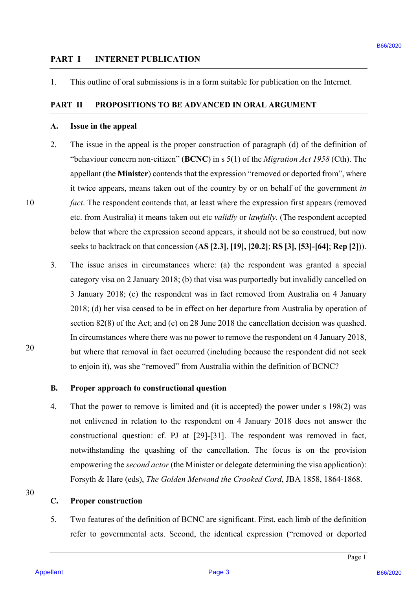### **PART I INTERNET PUBLICATION**  PART I) INTERNET PUBLICATION

1. This outline of oral submissions is in a form suitable for publication on the Internet. 1. This outline of oral submissions is in a form suitable for publication on the Internet.

### **PART II PROPOSITIONS TO BE ADVANCED IN ORAL ARGUMENT**  PART II PROPOSITIONS TO BE ADVANCED IN ORAL ARGUMENT

### **A. Issue in the appeal**  Issue in the appeal A.

- 2. The issue in the appeal is the proper construction of paragraph (d) of the definition of The issue in the appeal is the proper construction of paragraph (d) of the definition of "behaviour concern non-citizen" (**BCNC**) in s 5(1) of the *Migration Act 1958* (Cth). The "behaviour concern non-citizen" (BCNC) in <sup>s</sup> 5(1) of the Migration Act 1958 (Cth). The appellant (the **Minister**) contends that the expression "removed or deported from", where appellant (the Minister) contends that the expression "removed or deported from", where it twice appears, means taken out of the country by or on behalf of the government *in*  it twice appears, means taken out of the country by or on behalf of the government in fact. The respondent contends that, at least where the expression first appears (removed etc. from Australia) it means taken out etc *validly* or *lawfully*. (The respondent accepted etc. from Australia) it means taken out etc validly or lawfully. (The respondent accepted below that where the expression second appears, it should not be so construed, but now below that where the expression second appears, it should not be so construed, but now seeks to backtrack on that concession (**AS [2.3], [19], [20.2]**; **RS [3], [53]-[64]**; **Rep [2]**)). seeks to backtrack on that concession (AS [2.3], [19], [20.2]; RS [3], [53]-[64]; Rep [2])). 2.
- 3. The issue arises in circumstances where: (a) the respondent was granted a special The issue arises in circumstances where: (a) the respondent was granted <sup>a</sup> special category visa on 2 January 2018; (b) that visa was purportedly but invalidly cancelled on category visa on 2 January 2018; (b) that visa was purportedly but invalidly cancelled on 3 January 2018; (c) the respondent was in fact removed from Australia on 4 January <sup>3</sup> January 2018; (c) the respondent was in fact removed from Australia on 4 January 2018; (d) her visa ceased to be in effect on her departure from Australia by operation of 2018; (d) her visa ceased to be in effect on her departure from Australia by operation of section 82(8) of the Act; and (e) on 28 June 2018 the cancellation decision was quashed. section 82(8) of the Act; and (e) on 28 June 2018 the cancellation decision was quashed. In circumstances where there was no power to remove the respondent on 4 January 2018, In circumstances where there was no power to remove the respondent on 4 January 2018, but where that removal in fact occurred (including because the respondent did not seek but where that removal in fact occurred (including because the respondent did not seek to enjoin it), was she "removed" from Australia within the definition of BCNC? to enjoin it), was she "removed" from Australia within the definition of BCNC? **PART 1 INTERNITY PUBLIC NTION**<br>
1. This ordine of onel submissions is in a form submission for publication on the internet<br> **PART II PROPUSSITIONS TO BE ADVANCED IN ORAL ARGLIMENT**<br>
2. This issue is the appeal<br>
2. This i

10 10

### **B. Proper approach to constructional question**  Proper approach to constructional question

4. That the power to remove is limited and (it is accepted) the power under s 198(2) was That the power to remove is limited and (it is accepted) the power under <sup>s</sup> 198(2) was not enlivened in relation to the respondent on 4 January 2018 does not answer the not enlivened in relation to the respondent on 4 January 2018 does not answer the constructional question: cf. PJ at [29]-[31]. The respondent was removed in fact, constructional question: cf. PJ at [29]-[31]. The respondent was removed in fact, notwithstanding the quashing of the cancellation. The focus is on the provision notwithstanding the quashing of the cancellation. The focus is on the provision empowering the *second actor* (the Minister or delegate determining the visa application): empowering the second actor (the Minister or delegate determining the visa application): Forsyth & Hare (eds), *The Golden Metwand the Crooked Cord*, JBA 1858, 1864-1868. Forsyth & Hare (eds), The Golden Metwand the Crooked Cord, JBA 1858, 1864-1868.

### 30 30

### **C. Proper construction**  Proper construction

5. Two features of the definition of BCNC are significant. First, each limb of the definition Two features of the definition of BCNC are significant. First, each limb of the definition refer to governmental acts. Second, the identical expression ("removed or deported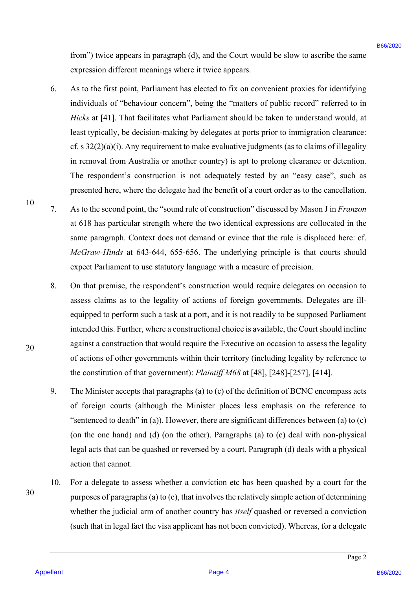from") twice appears in paragraph (d), and the Court would be slow to ascribe the same expression different meanings where it twice appears. expression different meanings where it twice appears.

- 6. As to the first point, Parliament has elected to fix on convenient proxies for identifying As to the first point, Parliament has elected to fix on convenient proxies for identifying individuals of "behaviour concern", being the "matters of public record" referred to in *Hicks* at [41]. That facilitates what Parliament should be taken to understand would, at Hicks at [41]. That facilitates what Parliament should be taken to understand would, at least typically, be decision-making by delegates at ports prior to immigration clearance: least typically, be decision-making by delegates at ports prior to immigration clearance: cf. s  $32(2)(a)(i)$ . Any requirement to make evaluative judgments (as to claims of illegality in removal from Australia or another country) is apt to prolong clearance or detention. in removal from Australia or another country) is apt to prolong clearance or detention. The respondent's construction is not adequately tested by an "easy case", such as The respondent's construction is not adequately tested by an "easy case", such as presented here, where the delegate had the benefit of a court order as to the cancellation. presented here, where the delegate had the benefit of a court order as to the cancellation. from") usine appears in paragraph (d), and the Court would be doo to accrete the sum<br>expression different meaning where *X* towics appears.<br>
As to the first particle meaning where *K* towics appears to the convention prox
	- 7. As to the second point, the "sound rule of construction" discussed by Mason J in *Franzon*  As to the second point, the "sound rule of construction" discussed by Mason <sup>J</sup> in Franzon at 618 has particular strength where the two identical expressions are collocated in the at 618 has particular strength where the two identical expressions are collocated in the same paragraph. Context does not demand or evince that the rule is displaced here: cf. same paragraph. Context does not demand or evince that the rule is displaced here: cf. *McGraw-Hinds* at 643-644, 655-656. The underlying principle is that courts should McGraw-Hinds at 643-644, 655-656. The underlying principle is that courts should expect Parliament to use statutory language with a measure of precision. expect Parliament to use statutory language with <sup>a</sup> measure of precision.
		- 8. On that premise, the respondent's construction would require delegates on occasion to On that premise, the respondent's construction would require delegates on occasion to assess claims as to the legality of actions of foreign governments. Delegates are ill-assess claims as to the legality of actions of foreign governments. Delegates are illequipped to perform such a task at a port, and it is not readily to be supposed Parliament intended this. Further, where a constructional choice is available, the Court should incline intended this. Further, where a constructional choice is available, the Court should incline against a construction that would require the Executive on occasion to assess the legality against a construction that would require the Executive on occasion to assess the legality of actions of other governments within their territory (including legality by reference to the constitution of that government): *Plaintiff M68* at [48], [248]-[257], [414]. the constitution of that government): PlaintiffM68 at [48], [248]-[257], [414].
		- 9. The Minister accepts that paragraphs (a) to (c) of the definition of BCNC encompass acts The Minister accepts that paragraphs (a) to (c) of the definition of BCNC encompass acts of foreign courts (although the Minister places less emphasis on the reference to "sentenced to death" in (a)). However, there are significant differences between (a) to  $(c)$ (on the one hand) and (d) (on the other). Paragraphs (a) to (c) deal with non-physical legal acts that can be quashed or reversed by a court. Paragraph (d) deals with a physical legal acts that can be quashed or reversed by a court. Paragraph (d) deals with <sup>a</sup> physical action that cannot. action that cannot.
	- 10. For a delegate to assess whether a conviction etc has been quashed by a court for the For a delegate to assess whether a conviction etc has been quashed by a court for the purposes of paragraphs (a) to  $(c)$ , that involves the relatively simple action of determining whether the judicial arm of another country has *itself* quashed or reversed a conviction whether the judicial arm of another country has itse/f quashed or reversed <sup>a</sup> conviction (such that in legal fact the visa applicant has not been convicted). Whereas, for a delegate (such that in legal fact the visa applicant has not been convicted). Whereas, for <sup>a</sup> delegate 10.

10 10

20 20

30 30